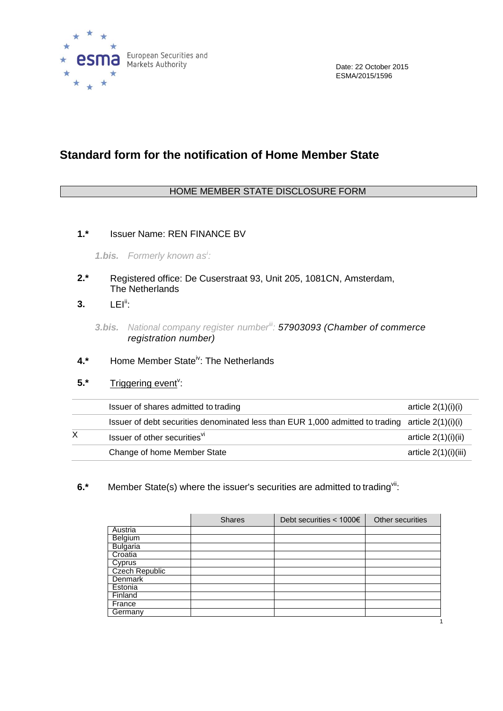

## **Standard form for the notification of Home Member State**

## HOME MEMBER STATE DISCLOSURE FORM

**1.\*** Issuer Name: REN FINANCE BV

*1.bis. Formerly known as<sup>i</sup> :*

- **2.\*** Registered office: De Cuserstraat 93, Unit 205, 1081CN, Amsterdam, The Netherlands
- **3.** LEI<sup>ii</sup>:

- **4.\*** Home Member Stateiv: The Netherlands
- 5.\* Triggering event<sup>v</sup>:

| Issuer of shares admitted to trading                                                               | article $2(1)(i)(i)$  |
|----------------------------------------------------------------------------------------------------|-----------------------|
| Issuer of debt securities denominated less than EUR 1,000 admitted to trading article $2(1)(i)(i)$ |                       |
| Issuer of other securities <sup>VI</sup>                                                           | article $2(1)(i)(ii)$ |
| Change of home Member State                                                                        | article 2(1)(i)(iii)  |

**6.\*** Member State(s) where the issuer's securities are admitted to trading<sup>vii</sup>:

|                 | <b>Shares</b> | Debt securities $< 1000 \epsilon$ | Other securities |
|-----------------|---------------|-----------------------------------|------------------|
| Austria         |               |                                   |                  |
| Belgium         |               |                                   |                  |
| <b>Bulgaria</b> |               |                                   |                  |
| Croatia         |               |                                   |                  |
| Cyprus          |               |                                   |                  |
| Czech Republic  |               |                                   |                  |
| Denmark         |               |                                   |                  |
| Estonia         |               |                                   |                  |
| Finland         |               |                                   |                  |
| France          |               |                                   |                  |
| Germany         |               |                                   |                  |
|                 |               |                                   |                  |

*<sup>3.</sup>bis. National company register numberiii: 57903093 (Chamber of commerce registration number)*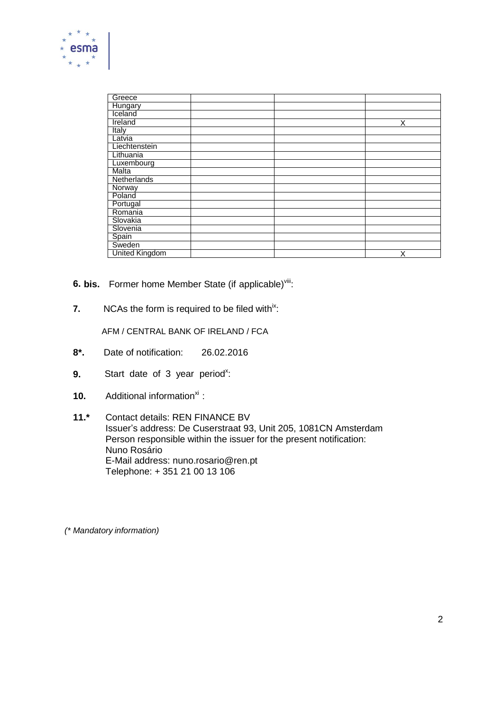

| Greece                |  |   |
|-----------------------|--|---|
| <b>Hungary</b>        |  |   |
| Iceland               |  |   |
| Ireland               |  | Χ |
| Italy                 |  |   |
| Latvia                |  |   |
| Liechtenstein         |  |   |
| Lithuania             |  |   |
| Luxembourg            |  |   |
| <b>Malta</b>          |  |   |
| Netherlands           |  |   |
| Norway                |  |   |
| Poland                |  |   |
| Portugal              |  |   |
| Romania               |  |   |
| Slovakia              |  |   |
| Slovenia              |  |   |
| Spain                 |  |   |
| Sweden                |  |   |
| <b>United Kingdom</b> |  | Χ |

- **6. bis.** Former home Member State (if applicable)<sup>viii</sup>:
- **7.** NCAs the form is required to be filed with<sup>ix</sup>:

AFM / CENTRAL BANK OF IRELAND / FCA

- **8\*.** Date of notification: 26.02.2016
- **9.** Start date of 3 year period<sup>x</sup>:
- **10.** Additional information<sup>xi</sup>:
- **11.\*** Contact details: REN FINANCE BV Issuer's address: De Cuserstraat 93, Unit 205, 1081CN Amsterdam Person responsible within the issuer for the present notification: Nuno Rosário E-Mail address: nuno.rosario@ren.pt Telephone: + 351 21 00 13 106

*(\* Mandatory information)*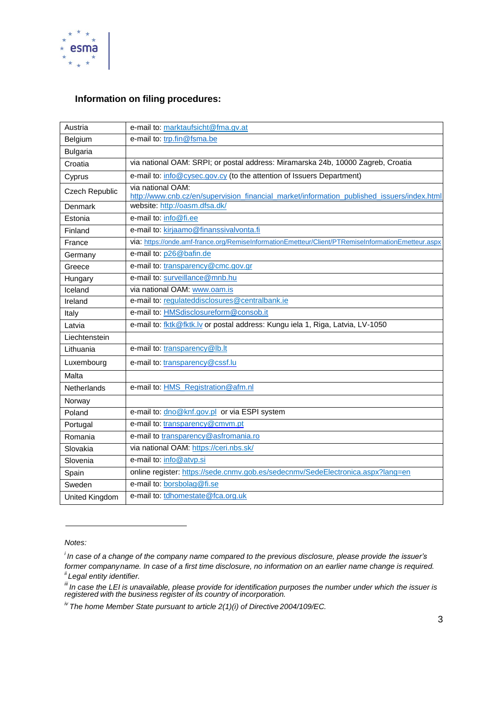

## **Information on filing procedures:**

| Austria               | e-mail to: marktaufsicht@fma.gv.at                                                                              |
|-----------------------|-----------------------------------------------------------------------------------------------------------------|
| Belgium               | e-mail to: trp.fin@fsma.be                                                                                      |
| <b>Bulgaria</b>       |                                                                                                                 |
| Croatia               | via national OAM: SRPI; or postal address: Miramarska 24b, 10000 Zagreb, Croatia                                |
| Cyprus                | e-mail to: info@cysec.gov.cy (to the attention of Issuers Department)                                           |
| Czech Republic        | via national OAM:<br>http://www.cnb.cz/en/supervision_financial_market/information_published_issuers/index.html |
| Denmark               | website: http://oasm.dfsa.dk/                                                                                   |
| Estonia               | e-mail to: info@fi.ee                                                                                           |
| Finland               | e-mail to: kirjaamo@finanssivalvonta.fi                                                                         |
| France                | via: https://onde.amf-france.org/RemiseInformationEmetteur/Client/PTRemiseInformationEmetteur.aspx              |
| Germany               | e-mail to: p26@bafin.de                                                                                         |
| Greece                | e-mail to: transparency@cmc.gov.gr                                                                              |
| Hungary               | e-mail to: surveillance@mnb.hu                                                                                  |
| Iceland               | via national OAM: www.oam.is                                                                                    |
| Ireland               | e-mail to: regulateddisclosures@centralbank.ie                                                                  |
| Italy                 | e-mail to: HMSdisclosureform@consob.it                                                                          |
| Latvia                | e-mail to: fktk@fktk.lv or postal address: Kungu iela 1, Riga, Latvia, LV-1050                                  |
| Liechtenstein         |                                                                                                                 |
| Lithuania             | e-mail to: transparency@lb.lt                                                                                   |
| Luxembourg            | e-mail to: transparency@cssf.lu                                                                                 |
| Malta                 |                                                                                                                 |
| Netherlands           | e-mail to: <b>HMS</b> Registration@afm.nl                                                                       |
| Norway                |                                                                                                                 |
| Poland                | e-mail to: dno@knf.gov.pl or via ESPI system                                                                    |
| Portugal              | e-mail to: transparency@cmvm.pt                                                                                 |
| Romania               | e-mail to transparency@asfromania.ro                                                                            |
| Slovakia              | via national OAM: https://ceri.nbs.sk/                                                                          |
| Slovenia              | e-mail to: info@atvp.si                                                                                         |
| Spain                 | online register: https://sede.cnmv.gob.es/sedecnmv/SedeElectronica.aspx?lang=en                                 |
| Sweden                | e-mail to: borsbolag@fi.se                                                                                      |
| <b>United Kingdom</b> | e-mail to: tdhomestate@fca.org.uk                                                                               |

*Notes:*

*<sup>i</sup>In case of a change of the company name compared to the previous disclosure, please provide the issuer's former companyname. In case of a first time disclosure, no information on an earlier name change is required. ii Legal entity identifier.*

*iii In case the LEI is unavailable, please provide for identification purposes the number under which the issuer is registered with the business register of its country of incorporation.*

*iv The home Member State pursuant to article 2(1)(i) of Directive 2004/109/EC.*